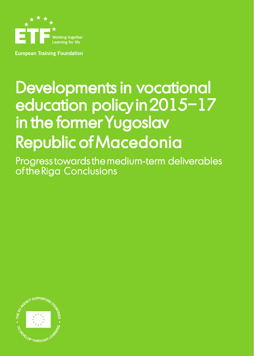

**European Training Foundation** 

# Developments in vocational education policy in 2015–17 in the former Yugoslav Republic of Macedonia

Progress towards the medium-term deliverables of the Riga Conclusions

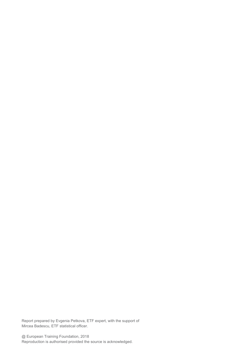Report prepared by Evgenia Petkova, ETF expert, with the support of Mircea Badescu, ETF statistical officer.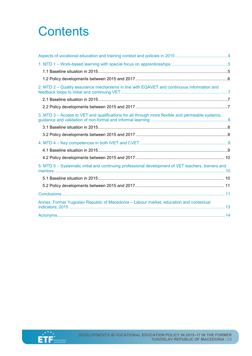# **Contents**

| 2. MTD 2 – Quality assurance mechanisms in line with EQAVET and continuous information and          |  |
|-----------------------------------------------------------------------------------------------------|--|
|                                                                                                     |  |
|                                                                                                     |  |
| 3. MTD 3 - Access to VET and qualifications for all through more flexible and permeable systems,    |  |
|                                                                                                     |  |
|                                                                                                     |  |
|                                                                                                     |  |
|                                                                                                     |  |
|                                                                                                     |  |
| 5. MTD 5 – Systematic initial and continuing professional development of VET teachers, trainers and |  |
|                                                                                                     |  |
|                                                                                                     |  |
|                                                                                                     |  |
| Annex: Former Yugoslav Republic of Macedonia - Labour market, education and contextual              |  |
|                                                                                                     |  |

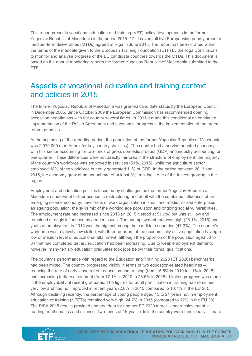This report presents vocational education and training (VET) policy developments in the former Yugoslav Republic of Macedonia in the period 2015–17. It covers all five Europe-wide priority areas or medium-term deliverables (MTDs) agreed at Riga in June 2015. The report has been drafted within the terms of the mandate given to the European Training Foundation (ETF) by the Riga Conclusions to monitor and analyse progress of the EU candidate countries towards the MTDs. This document is based on the annual monitoring reports the former Yugoslav Republic of Macedonia submitted to the ETF.

# <span id="page-3-0"></span>Aspects of vocational education and training context and policies in 2015

The former Yugoslav Republic of Macedonia was granted candidate status by the European Council in December 2005. Since October 2009 the European Commission has recommended opening accession negotiations with the country several times. In 2015 it made this conditional on continued implementation of the Pržino Agreement and substantial progress in the implementation of the urgent reform priorities.

At the beginning of the reporting period, the population of the former Yugoslav Republic of Macedonia was 2 070 000 (see Annex for key country statistics). The country had a service-oriented economy, with this sector accounting for two-thirds of gross domestic product (GDP) and industry accounting for one-quarter. These differences were not directly mirrored in the structure of employment: the majority of the country's workforce was employed in services (51%, 2015), while the agriculture sector employed 18% of the workforce but only generated 11% of GDP. In the period between 2013 and 2015, the economy grew at an annual rate of at least 3%, making it one of the fastest growing in the region.

Employment and education policies faced many challenges as the former Yugoslav Republic of Macedonia underwent further economic restructuring and dealt with the combined influences of an emerging service economy, new forms of work organisation in small and medium-sized enterprises, an ageing population, the skills mix of the working age population and ongoing social vulnerabilities. The employment rate had increased since 2013 (in 2015 it stood at 51.9%) but was still low and remained strongly influenced by gender issues. The unemployment rate was high (26.1%, 2015) and youth unemployment in 2015 was the highest among the candidate countries (47.3%). The country's workforce was relatively low skilled, with three-quarters of the economically active population having a low or medium level of educational attainment, although the proportion of the population aged 30 to 34 that had completed tertiary education had been increasing. Due to weak employment demand, however, many tertiary education graduates took jobs below their formal qualifications.

The country's performance with regard to the Education and Training 2020 (ET 2020) benchmarks had been mixed. The country progressed visibly in terms of two education-related headlines – reducing the rate of early leavers from education and training (from 15.5% in 2010 to 11% in 2015) and increasing tertiary attainment (from 17.1% in 2010 to 28.6% in 2015). Limited progress was made in the employability of recent graduates. The figures for adult participation in training had remained very low and had not improved in recent years (2.6% in 2015 compared to 10.7% in the EU 28). Although declining recently, the percentage of young people aged 15 to 24 years not in employment, education or training (NEETs) remained very high: 24.7% in 2015 (compared to 12% in the EU 28). The PISA 2015 results provided updated data for another ET 2020 target –underachievement in reading, mathematics and science. Two-thirds of 15-year-olds in the country were functionally illiterate

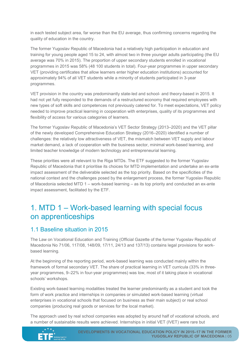in each tested subject area, far worse than the EU average, thus confirming concerns regarding the quality of education in the country.

The former Yugoslav Republic of Macedonia had a relatively high participation in education and training for young people aged 15 to 24, with almost two in three younger adults participating (the EU average was 70% in 2015). The proportion of upper secondary students enrolled in vocational programmes in 2015 was 58% (48 100 students in total). Four-year programmes in upper secondary VET (providing certificates that allow learners enter higher education institutions) accounted for approximately 94% of all VET students while a minority of students participated in 3-year programmes.

VET provision in the country was predominantly state-led and school- and theory-based in 2015. It had not yet fully responded to the demands of a restructured economy that required employees with new types of soft skills and competences not previously catered for. To meet expectations, VET policy needed to improve practical learning in cooperation with enterprises, quality of its programmes and flexibility of access for various categories of learners.

The former Yugoslav Republic of Macedonia's VET Sector Strategy (2013–2020) and the VET pillar of the newly developed Comprehensive Education Strategy (2016–2020) identified a number of challenges: the relatively low attractiveness of VET, the mismatch between VET supply and labour market demand, a lack of cooperation with the business sector, minimal work-based learning, and limited teacher knowledge of modern technology and entrepreneurial learning.

These priorities were all relevant to the Riga MTDs. The ETF suggested to the former Yugoslav Republic of Macedonia that it prioritise its choices for MTD implementation and undertake an ex-ante impact assessment of the deliverable selected as the top priority. Based on the specificities of the national context and the challenges posed by the enlargement process, the former Yugoslav Republic of Macedonia selected MTD 1 – work-based learning – as its top priority and conducted an ex-ante impact assessment, facilitated by the ETF.

# <span id="page-4-0"></span>1. MTD 1 – Work-based learning with special focus on apprenticeships

#### <span id="page-4-1"></span>1.1 Baseline situation in 2015

The Law on Vocational Education and Training (Official Gazette of the former Yugoslav Republic of Macedonia No 71/06, 117/08, 148/09, 17/11, 24/13 and 137/13) contains legal provisions for workbased learning.

At the beginning of the reporting period, work-based learning was conducted mainly within the framework of formal secondary VET. The share of practical learning in VET curricula (33% in threeyear programmes, 9–22% in four-year programmes) was low, most of it taking place in vocational schools' workshops.

Existing work-based learning modalities treated the learner predominantly as a student and took the form of work practice and internships in companies or simulated work-based learning (virtual enterprises in vocational schools that focused on business as their main subject) or real school companies (producing real goods or services for the local market).

The approach used by real school companies was adopted by around half of vocational schools, and a number of sustainable results were achieved. Internships in initial VET (IVET) were rare but

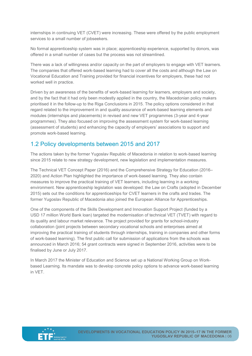internships in continuing VET (CVET) were increasing. These were offered by the public employment services to a small number of jobseekers.

No formal apprenticeship system was in place; apprenticeship experience, supported by donors, was offered in a small number of cases but the process was not streamlined.

There was a lack of willingness and/or capacity on the part of employers to engage with VET learners. The companies that offered work-based learning had to cover all the costs and although the Law on Vocational Education and Training provided for financial incentives for employers, these had not worked well in practice.

Driven by an awareness of the benefits of work-based learning for learners, employers and society, and by the fact that it had only been modestly applied in the country, the Macedonian policy makers prioritised it in the follow-up to the Riga Conclusions in 2015. The policy options considered in that regard related to the improvement in and quality assurance of work-based learning elements and modules (internships and placements) in revised and new VET programmes (3-year and 4-year programmes). They also focused on improving the assessment system for work-based learning (assessment of students) and enhancing the capacity of employers' associations to support and promote work-based learning.

#### <span id="page-5-0"></span>1.2 Policy developments between 2015 and 2017

The actions taken by the former Yugoslav Republic of Macedonia in relation to work-based learning since 2015 relate to new strategy development, new legislation and implementation measures.

The Technical VET Concept Paper (2016) and the Comprehensive Strategy for Education (2016– 2020) and Action Plan highlighted the importance of work-based learning. They also contain measures to improve the practical training of VET learners, including learning in a working environment. New apprenticeship legislation was developed: the Law on Crafts (adopted in December 2015) sets out the conditions for apprenticeships for CVET learners in the crafts and trades. The former Yugoslav Republic of Macedonia also joined the European Alliance for Apprenticeships.

One of the components of the Skills Development and Innovation Support Project (funded by a USD 17 million World Bank loan) targeted the modernisation of technical VET (TVET) with regard to its quality and labour market relevance. The project provided for grants for school-industry collaboration (joint projects between secondary vocational schools and enterprises aimed at improving the practical training of students through internships, training in companies and other forms of work-based learning). The first public call for submission of applications from the schools was announced in March 2016; 54 grant contracts were signed in September 2016, activities were to be finalised by June or July 2017.

In March 2017 the Minister of Education and Science set up a National Working Group on Workbased Learning. Its mandate was to develop concrete policy options to advance work-based learning in VET.

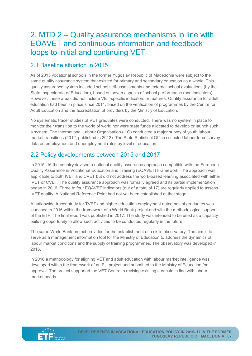# <span id="page-6-0"></span>2. MTD 2 – Quality assurance mechanisms in line with EQAVET and continuous information and feedback loops to initial and continuing VET

#### <span id="page-6-1"></span>2.1 Baseline situation in 2015

As of 2015 vocational schools in the former Yugoslav Republic of Macedonia were subject to the same quality assurance system that existed for primary and secondary education as a whole. This quality assurance system included school self-assessments and external school evaluations (by the State Inspectorate of Education), based on seven aspects of school performance (and indicators). However, these areas did not include VET-specific indicators or features. Quality assurance for adult education had been in place since 2011, based on the verification of programmes by the Centre for Adult Education and the accreditation of providers by the Ministry of Education.

No systematic tracer studies of VET graduates were conducted. There was no system in place to monitor their transition to the world of work; nor were state funds allocated to develop or launch such a system. The International Labour Organisation (ILO) conducted a major survey of youth labour market transitions (2012, published in 2013). The State Statistical Office collected labour force survey data on employment and unemployment rates by level of education.

#### <span id="page-6-2"></span>2.2 Policy developments between 2015 and 2017

In 2015–16 the country devised a national quality assurance approach compatible with the European Quality Assurance in Vocational Education and Training (EQAVET) Framework. The approach was applicable to both IVET and CVET but did not address the work-based learning associated with either IVET or CVET. The quality assurance approach was formally agreed and its partial implementation began in 2016. Three to four EQAVET indicators (out of a total of 17) are regularly applied to assess IVET quality. A National Reference Point had not yet been established at that stage.

A nationwide tracer study for TVET and higher education employment outcomes of graduates was launched in 2016 within the framework of a World Bank project and with the methodological support of the ETF. The final report was published in 2017. The study was intended to be used as a capacitybuilding opportunity to allow such activities to be conducted regularly in the future.

The same World Bank project provides for the establishment of a skills observatory. The aim is to serve as a management information tool for the Ministry of Education to address the dynamics of labour market conditions and the supply of training programmes. The observatory was developed in 2016.

In 2016 a methodology for aligning VET and adult education with labour market intelligence was developed within the framework of an EU project and submitted to the Ministry of Education for approval. The project supported the VET Centre in revising existing curricula in line with labour market needs.

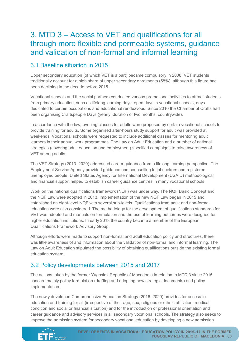# <span id="page-7-0"></span>3. MTD 3 – Access to VET and qualifications for all through more flexible and permeable systems, guidance and validation of non-formal and informal learning

#### <span id="page-7-1"></span>3.1 Baseline situation in 2015

Upper secondary education (of which VET is a part) became compulsory in 2008. VET students traditionally account for a high share of upper secondary enrolments (58%), although this figure had been declining in the decade before 2015.

Vocational schools and the social partners conducted various promotional activities to attract students from primary education, such as lifelong learning days, open days in vocational schools, days dedicated to certain occupations and educational rendezvous. Since 2010 the Chamber of Crafts had been organising Craftspeople Days (yearly, duration of two months, countrywide).

In accordance with the law, evening classes for adults were proposed by certain vocational schools to provide training for adults. Some organised after-hours study support for adult was provided at weekends. Vocational schools were requested to include additional classes for mentoring adult learners in their annual work programmes. The Law on Adult Education and a number of national strategies (covering adult education and employment) specified campaigns to raise awareness of VET among adults.

The VET Strategy (2013–2020) addressed career guidance from a lifelong learning perspective. The Employment Service Agency provided guidance and counselling to jobseekers and registered unemployed people. United States Agency for International Development (USAID) methodological and financial support helped to establish career guidance centres in many vocational schools.

Work on the national qualifications framework (NQF) was under way. The NQF Basic Concept and the NQF Law were adopted in 2013. Implementation of the new NQF Law began in 2015 and established an eight-level NQF with several sub-levels. Qualifications from adult and non-formal education were also considered. The methodology for the development of qualifications standards for VET was adopted and manuals on formulation and the use of learning outcomes were designed for higher education institutions. In early 2013 the country became a member of the European Qualifications Framework Advisory Group.

Although efforts were made to support non-formal and adult education policy and structures, there was little awareness of and information about the validation of non-formal and informal learning. The Law on Adult Education stipulated the possibility of obtaining qualifications outside the existing formal education system.

#### <span id="page-7-2"></span>3.2 Policy developments between 2015 and 2017

The actions taken by the former Yugoslav Republic of Macedonia in relation to MTD 3 since 2015 concern mainly policy formulation (drafting and adopting new strategic documents) and policy implementation.

The newly developed Comprehensive Education Strategy (2016–2020) provides for access to education and training for all (irrespective of their age, sex, religious or ethnic affiliation, medical condition and social or financial situation) and for the introduction of professional orientation and career guidance and advisory services in all secondary vocational schools. The strategy also seeks to improve the admission system for secondary vocational education by developing a new admission

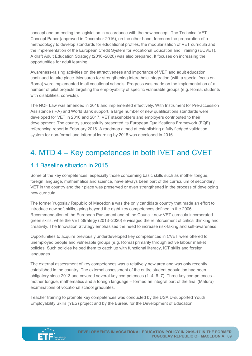concept and amending the legislation in accordance with the new concept. The Technical VET Concept Paper (approved in December 2016), on the other hand, foresees the preparation of a methodology to develop standards for educational profiles, the modularisation of VET curricula and the implementation of the European Credit System for Vocational Education and Training (ECVET). A draft Adult Education Strategy (2016–2020) was also prepared. It focuses on increasing the opportunities for adult learning.

Awareness-raising activities on the attractiveness and importance of VET and adult education continued to take place. Measures for strengthening interethnic integration (with a special focus on Roma) were implemented in all vocational schools. Progress was made on the implementation of a number of pilot projects targeting the employability of specific vulnerable groups (e.g. Roma, students with disabilities, convicts).

The NQF Law was amended in 2016 and implemented effectively. With Instrument for Pre-accession Assistance (IPA) and World Bank support, a large number of new qualifications standards were developed for VET in 2016 and 2017. VET stakeholders and employers contributed to their development. The country successfully presented its European Qualifications Framework (EQF) referencing report in February 2016. A roadmap aimed at establishing a fully fledged validation system for non-formal and informal learning by 2018 was developed in 2016.

# <span id="page-8-0"></span>4. MTD 4 – Key competences in both IVET and CVET

#### <span id="page-8-1"></span>4.1 Baseline situation in 2015

Some of the key competences, especially those concerning basic skills such as mother tongue, foreign language, mathematics and science, have always been part of the curriculum of secondary VET in the country and their place was preserved or even strengthened in the process of developing new curricula.

The former Yugoslav Republic of Macedonia was the only candidate country that made an effort to introduce new soft skills, going beyond the eight key competences defined in the 2006 Recommendation of the European Parliament and of the Council: new VET curricula incorporated green skills, while the VET Strategy (2013–2020) envisaged the reinforcement of critical thinking and creativity. The Innovation Strategy emphasised the need to increase risk-taking and self-awareness.

Opportunities to acquire previously underdeveloped key competences in CVET were offered to unemployed people and vulnerable groups (e.g. Roma) primarily through active labour market policies. Such policies helped them to catch up with functional literacy, ICT skills and foreign languages.

The external assessment of key competences was a relatively new area and was only recently established in the country. The external assessment of the entire student population had been obligatory since 2013 and covered several key competences (1–4, 6–7). Three key competences – mother tongue, mathematics and a foreign language – formed an integral part of the final (Matura) examinations of vocational school graduates.

Teacher training to promote key competences was conducted by the USAID-supported Youth Employability Skills (YES) project and by the Bureau for the Development of Education.

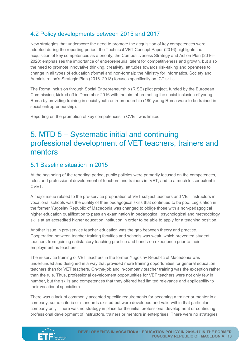#### <span id="page-9-0"></span>4.2 Policy developments between 2015 and 2017

New strategies that underscore the need to promote the acquisition of key competences were adopted during the reporting period: the Technical VET Concept Paper (2016) highlights the acquisition of key competences as a priority; the Competitiveness Strategy and Action Plan (2016– 2020) emphasises the importance of entrepreneurial talent for competitiveness and growth, but also the need to promote innovative thinking, creativity, attitudes towards risk-taking and openness to change in all types of education (formal and non-formal); the Ministry for Informatics, Society and Administration's Strategic Plan (2016–2018) focuses specifically on ICT skills.

The Roma Inclusion through Social Entrepreneurship (RISE) pilot project, funded by the European Commission, kicked off in December 2016 with the aim of promoting the social inclusion of young Roma by providing training in social youth entrepreneurship (180 young Roma were to be trained in social entrepreneurship).

Reporting on the promotion of key competences in CVET was limited.

# <span id="page-9-1"></span>5. MTD 5 – Systematic initial and continuing professional development of VET teachers, trainers and mentors

#### <span id="page-9-2"></span>5.1 Baseline situation in 2015

At the beginning of the reporting period, public policies were primarily focused on the competences, roles and professional development of teachers and trainers in IVET, and to a much lesser extent in CVET.

A major issue related to the pre-service preparation of VET subject teachers and VET instructors in vocational schools was the quality of their pedagogical skills that continued to be poo. Legislation in the former Yugoslav Republic of Macedonia was changed to oblige those with a non-pedagogical higher education qualification to pass an examination in pedagogical, psychological and methodology skills at an accredited higher education institution in order to be able to apply for a teaching position.

Another issue in pre-service teacher education was the gap between theory and practice. Cooperation between teacher training faculties and schools was weak, which prevented student teachers from gaining satisfactory teaching practice and hands-on experience prior to their employment as teachers.

The in-service training of VET teachers in the former Yugoslav Republic of Macedonia was underfunded and designed in a way that provided more training opportunities for general education teachers than for VET teachers. On-the-job and in-company teacher training was the exception rather than the rule. Thus, professional development opportunities for VET teachers were not only few in number, but the skills and competences that they offered had limited relevance and applicability to their vocational specialism.

There was a lack of commonly accepted specific requirements for becoming a trainer or mentor in a company; some criteria or standards existed but were developed and valid within that particular company only. There was no strategy in place for the initial professional development or continuing professional development of instructors, trainers or mentors in enterprises. There were no strategies

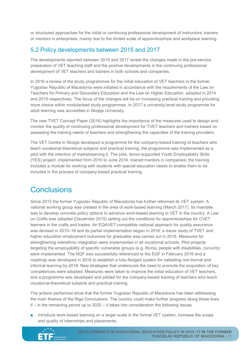or structured approaches for the initial or continuing professional development of instructors, trainers or mentors in enterprises, mainly due to the limited scale of apprenticeships and workplace learning.

#### <span id="page-10-0"></span>5.2 Policy developments between 2015 and 2017

The developments reported between 2015 and 2017 reveal the changes made in the pre-service preparation of VET teaching staff and the positive developments in the continuing professional development of VET teachers and trainers in both schools and companies.

In 2016 a review of the study programmes for the initial education of VET teachers in the former Yugoslav Republic of Macedonia were initiated in accordance with the requirements of the Law on Teachers for Primary and Secondary Education and the Law on Higher Education, adopted in 2014 and 2015 respectively. The focus of the changes will be on increasing practical training and providing more choice within modularised study programmes. In 2017 a university-level study programme for adult learning was accredited in Skopje University.

The new TVET Concept Paper (2016) highlights the importance of the measures used to design and monitor the quality of continuing professional development for TVET teachers and trainers based on assessing the training needs of teachers and strengthening the capacities of the training providers.

The VET Centre in Skopje developed a programme for the company-based training of teachers who teach vocational-theoretical subjects and practical training; the programme was implemented as a pilot with the intention of mainstreaming it. The pilot, donor-supported Youth Employability Skills (YES) project, implemented from 2010 to June 2016, trained mentors in companies; the training included a module for working with students with special education needs to enable them to be included in the process of company-based practical training.

# <span id="page-10-1"></span>**Conclusions**

Since 2015 the former Yugoslav Republic of Macedonia has further reformed its VET system. A national working group was created in the area of work-based learning (March 2017). Its mandate was to develop concrete policy options to advance work-based learning in VET in the country. A Law on Crafts was adopted (December 2015) setting out the conditions for apprenticeships for CVET learners in the crafts and trades. An EQAVET-compatible national approach for quality assurance was devised in 2015–16 and its partial implementation began in 2016; a tracer study of TVET and higher education employment outcomes for graduates was carried out in 2016. Measures for strengthening interethnic integration were implemented in all vocational schools. Pilot projects targeting the employability of specific vulnerable groups (e.g. Roma, people with disabilities, convicts) were implemented. The NQF was successfully referenced to the EQF in February 2016 and a roadmap was developed in 2016 to establish a fully-fledged system for validating non-formal and informal learning by 2018. New strategies that underscore the need to promote the acquisition of key competences were adopted. Measures were taken to improve the initial education of VET teachers, and a programme was developed and piloted for the company-based training of teachers who teach vocational-theoretical subjects and practical training.

The actions performed show that the former Yugoslav Republic of Macedonia has been addressing the main themes of the Riga Conclusions. The country could make further progress along these lines if – in the remaining period up to 2020 – it takes into consideration the following issues.

■ introduce work-based learning on a larger scale in the formal VET system; increase the scope and quality of internships and placements;

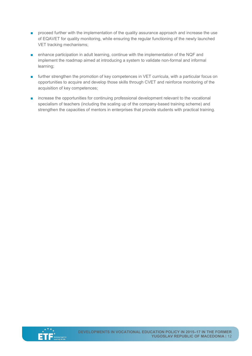- proceed further with the implementation of the quality assurance approach and increase the use of EQAVET for quality monitoring, while ensuring the regular functioning of the newly launched VET tracking mechanisms;
- enhance participation in adult learning, continue with the implementation of the NQF and implement the roadmap aimed at introducing a system to validate non-formal and informal learning;
- further strengthen the promotion of key competences in VET curricula, with a particular focus on opportunities to acquire and develop those skills through CVET and reinforce monitoring of the acquisition of key competences;
- increase the opportunities for continuing professional development relevant to the vocational specialism of teachers (including the scaling up of the company-based training scheme) and strengthen the capacities of mentors in enterprises that provide students with practical training.

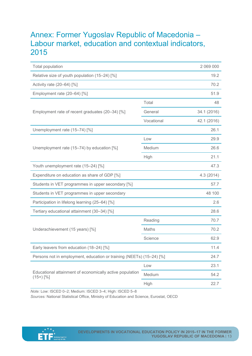# <span id="page-12-0"></span>Annex: Former Yugoslav Republic of Macedonia – Labour market, education and contextual indicators, 2015

| <b>Total population</b>                                                 |              | 2 069 000   |
|-------------------------------------------------------------------------|--------------|-------------|
| Relative size of youth population (15-24) [%]                           |              | 19.2        |
| Activity rate (20-64) [%]                                               |              | 70.2        |
| Employment rate (20-64) [%]                                             |              | 51.9        |
|                                                                         | Total        | 48          |
| Employment rate of recent graduates (20-34) [%]                         | General      | 34.1 (2016) |
|                                                                         | Vocational   | 42.1 (2016) |
| Unemployment rate (15-74) [%]                                           |              | 26.1        |
|                                                                         | Low          | 29.9        |
| Unemployment rate (15-74) by education [%]                              | Medium       | 26.6        |
|                                                                         | High         | 21.1        |
| Youth unemployment rate (15-24) [%]                                     |              | 47.3        |
| Expenditure on education as share of GDP [%]                            |              | 4.3(2014)   |
| Students in VET programmes in upper secondary [%]                       |              | 57.7        |
| Students in VET programmes in upper secondary                           |              | 48 100      |
| Participation in lifelong learning (25-64) [%]                          |              | 2.6         |
| Tertiary educational attainment (30-34) [%]                             |              | 28.6        |
|                                                                         | Reading      | 70.7        |
| Underachievement (15 years) [%]                                         | <b>Maths</b> | 70.2        |
|                                                                         | Science      | 62.9        |
| Early leavers from education (18-24) [%]                                |              | 11.4        |
| Persons not in employment, education or training (NEETs) (15-24) [%]    |              | 24.7        |
| Educational attainment of economically active population<br>$(15+)$ [%] | Low          | 23.1        |
|                                                                         | Medium       | 54.2        |
|                                                                         | High         | 22.7        |

*Note:* Low: ISCED 0–2; Medium: ISCED 3–4; High: ISCED 5–8

*Sources:* National Statistical Office, Ministry of Education and Science, Eurostat, OECD

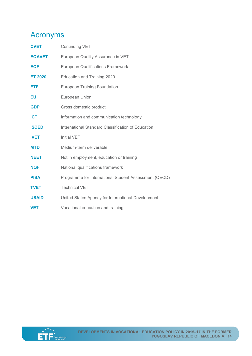# <span id="page-13-0"></span>Acronyms

| <b>CVET</b>    | <b>Continuing VET</b>                                 |
|----------------|-------------------------------------------------------|
| <b>EQAVET</b>  | European Quality Assurance in VET                     |
| <b>EQF</b>     | <b>European Qualifications Framework</b>              |
| <b>ET 2020</b> | <b>Education and Training 2020</b>                    |
| <b>ETF</b>     | <b>European Training Foundation</b>                   |
| EU             | European Union                                        |
| <b>GDP</b>     | Gross domestic product                                |
| <b>ICT</b>     | Information and communication technology              |
| <b>ISCED</b>   | International Standard Classification of Education    |
| <b>IVET</b>    | <b>Initial VET</b>                                    |
| <b>MTD</b>     | Medium-term deliverable                               |
| <b>NEET</b>    | Not in employment, education or training              |
| <b>NQF</b>     | National qualifications framework                     |
| <b>PISA</b>    | Programme for International Student Assessment (OECD) |
| <b>TVET</b>    | <b>Technical VET</b>                                  |
| <b>USAID</b>   | United States Agency for International Development    |
| <b>VET</b>     | Vocational education and training                     |